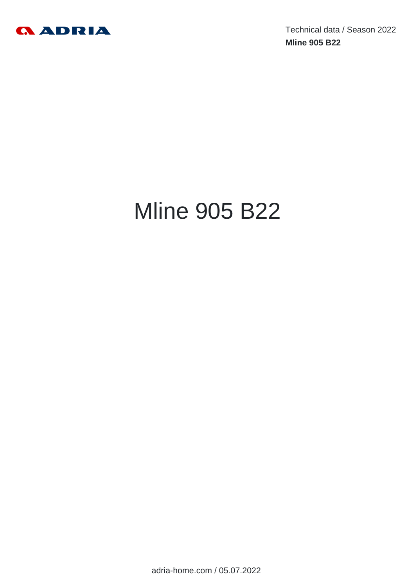

Technical data / Season 2022 **Mline 905 B22**

# Mline 905 B22

adria-home.com / 05.07.2022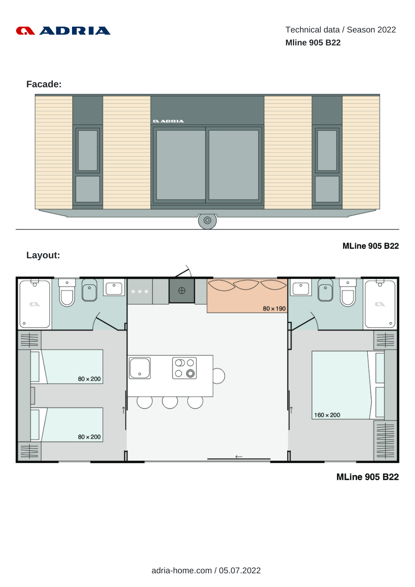

## **Facade:**



**Layout:**

**MLine 905 B22** 



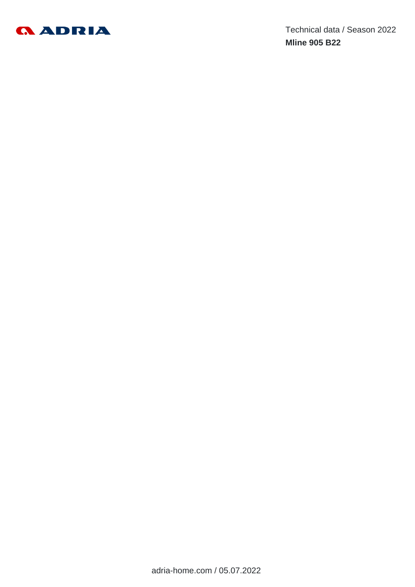

Technical data / Season 2022 **Mline 905 B22**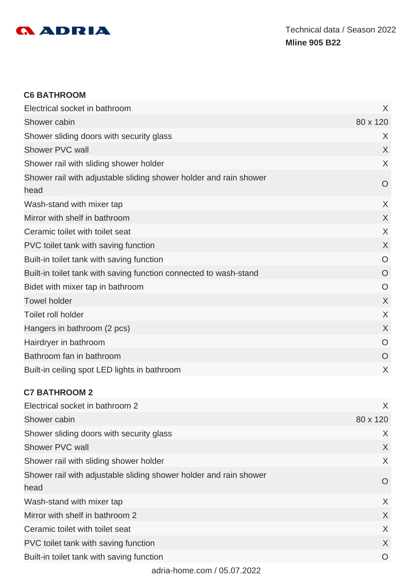

#### **C6 BATHROOM**

| Electrical socket in bathroom                                             | X              |
|---------------------------------------------------------------------------|----------------|
| Shower cabin                                                              | 80 x 120       |
| Shower sliding doors with security glass                                  | X              |
| Shower PVC wall                                                           | X              |
| Shower rail with sliding shower holder                                    | $\chi$         |
| Shower rail with adjustable sliding shower holder and rain shower<br>head | O              |
| Wash-stand with mixer tap                                                 | $\chi$         |
| Mirror with shelf in bathroom                                             | $\sf X$        |
| Ceramic toilet with toilet seat                                           | $\sf X$        |
| PVC toilet tank with saving function                                      | $\chi$         |
| Built-in toilet tank with saving function                                 | O              |
| Built-in toilet tank with saving function connected to wash-stand         | O              |
| Bidet with mixer tap in bathroom                                          | O              |
| <b>Towel holder</b>                                                       | X              |
| Toilet roll holder                                                        | X              |
| Hangers in bathroom (2 pcs)                                               | $\chi$         |
| Hairdryer in bathroom                                                     | $\overline{O}$ |
| Bathroom fan in bathroom                                                  | $\overline{O}$ |
| Built-in ceiling spot LED lights in bathroom                              | X              |

#### **C7 BATHROOM 2**

| Electrical socket in bathroom 2                                   | X        |
|-------------------------------------------------------------------|----------|
| Shower cabin                                                      | 80 x 120 |
| Shower sliding doors with security glass                          | X        |
| Shower PVC wall                                                   | X        |
| Shower rail with sliding shower holder                            | X        |
| Shower rail with adjustable sliding shower holder and rain shower | O        |
| head                                                              |          |
| Wash-stand with mixer tap                                         | X        |
| Mirror with shelf in bathroom 2                                   | X        |
| Ceramic toilet with toilet seat                                   | X        |
| PVC toilet tank with saving function                              | X        |
| Built-in toilet tank with saving function                         | O        |
|                                                                   |          |

adria-home.com / 05.07.2022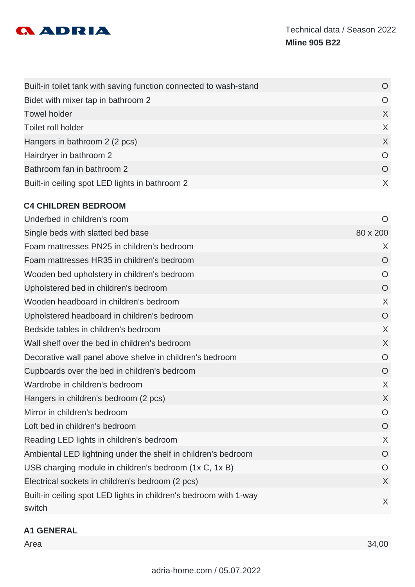

| Built-in toilet tank with saving function connected to wash-stand | $\mathcal{L}$ |
|-------------------------------------------------------------------|---------------|
| Bidet with mixer tap in bathroom 2                                | O             |
| <b>Towel holder</b>                                               | $\chi$        |
| Toilet roll holder                                                | X             |
| Hangers in bathroom 2 (2 pcs)                                     | X             |
| Hairdryer in bathroom 2                                           | $\Omega$      |
| Bathroom fan in bathroom 2                                        | O             |
| Built-in ceiling spot LED lights in bathroom 2                    | X             |

### **C4 CHILDREN BEDROOM**

| Underbed in children's room                                                 | O              |
|-----------------------------------------------------------------------------|----------------|
| Single beds with slatted bed base                                           | 80 x 200       |
| Foam mattresses PN25 in children's bedroom                                  | X              |
| Foam mattresses HR35 in children's bedroom                                  | $\overline{O}$ |
| Wooden bed upholstery in children's bedroom                                 | O              |
| Upholstered bed in children's bedroom                                       | O              |
| Wooden headboard in children's bedroom                                      | X              |
| Upholstered headboard in children's bedroom                                 | $\overline{O}$ |
| Bedside tables in children's bedroom                                        | X              |
| Wall shelf over the bed in children's bedroom                               | X              |
| Decorative wall panel above shelve in children's bedroom                    | $\overline{O}$ |
| Cupboards over the bed in children's bedroom                                | $\overline{O}$ |
| Wardrobe in children's bedroom                                              | X              |
| Hangers in children's bedroom (2 pcs)                                       | X              |
| Mirror in children's bedroom                                                | $\circ$        |
| Loft bed in children's bedroom                                              | O              |
| Reading LED lights in children's bedroom                                    | X              |
| Ambiental LED lightning under the shelf in children's bedroom               | $\overline{O}$ |
| USB charging module in children's bedroom (1x C, 1x B)                      | $\circ$        |
| Electrical sockets in children's bedroom (2 pcs)                            | X              |
| Built-in ceiling spot LED lights in children's bedroom with 1-way<br>switch | X              |

#### **A1 GENERAL**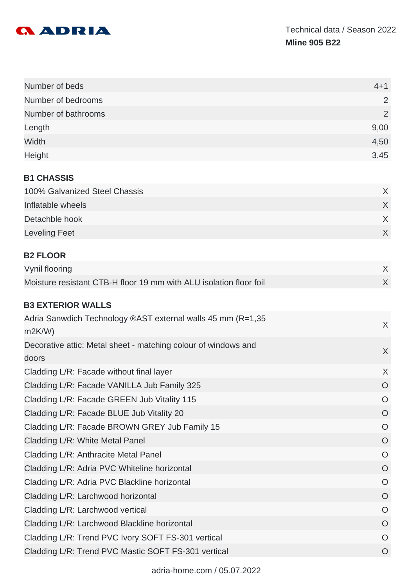

| Number of beds      | $4 + 1$        |
|---------------------|----------------|
| Number of bedrooms  | 2              |
| Number of bathrooms | $\overline{2}$ |
| Length              | 9,00           |
| Width               | 4,50           |
| Height              | 3,45           |

#### **B1 CHASSIS**

| 100% Galvanized Steel Chassis |  |
|-------------------------------|--|
| Inflatable wheels             |  |
| Detachble hook                |  |
| <b>Leveling Feet</b>          |  |

#### **B2 FLOOR**

| Vynil flooring                                                     |  |
|--------------------------------------------------------------------|--|
| Moisture resistant CTB-H floor 19 mm with ALU isolation floor foil |  |

#### **B3 EXTERIOR WALLS**

| Adria Sanwdich Technology ®AST external walls 45 mm (R=1,35<br>m2K/W | $\chi$         |
|----------------------------------------------------------------------|----------------|
| Decorative attic: Metal sheet - matching colour of windows and       | X              |
| doors                                                                |                |
| Cladding L/R: Facade without final layer                             | X              |
| Cladding L/R: Facade VANILLA Jub Family 325                          | $\overline{O}$ |
| Cladding L/R: Facade GREEN Jub Vitality 115                          | $\circ$        |
| Cladding L/R: Facade BLUE Jub Vitality 20                            | $\circ$        |
| Cladding L/R: Facade BROWN GREY Jub Family 15                        | O              |
| Cladding L/R: White Metal Panel                                      | $\overline{O}$ |
| Cladding L/R: Anthracite Metal Panel                                 | O              |
| Cladding L/R: Adria PVC Whiteline horizontal                         | $\overline{O}$ |
| Cladding L/R: Adria PVC Blackline horizontal                         | O              |
| Cladding L/R: Larchwood horizontal                                   | O              |
| Cladding L/R: Larchwood vertical                                     | O              |
| Cladding L/R: Larchwood Blackline horizontal                         | $\circ$        |
| Cladding L/R: Trend PVC Ivory SOFT FS-301 vertical                   | O              |
| Cladding L/R: Trend PVC Mastic SOFT FS-301 vertical                  | O              |
|                                                                      |                |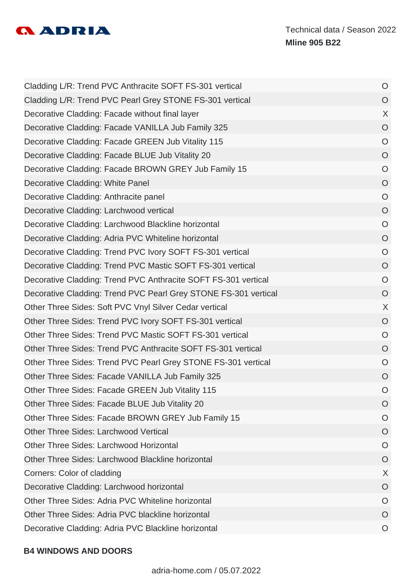

| Cladding L/R: Trend PVC Anthracite SOFT FS-301 vertical         | $\circ$        |
|-----------------------------------------------------------------|----------------|
| Cladding L/R: Trend PVC Pearl Grey STONE FS-301 vertical        | $\overline{O}$ |
| Decorative Cladding: Facade without final layer                 | X              |
| Decorative Cladding: Facade VANILLA Jub Family 325              | $\overline{O}$ |
| Decorative Cladding: Facade GREEN Jub Vitality 115              | $\circ$        |
| Decorative Cladding: Facade BLUE Jub Vitality 20                | $\overline{O}$ |
| Decorative Cladding: Facade BROWN GREY Jub Family 15            | $\circ$        |
| Decorative Cladding: White Panel                                | $\overline{O}$ |
| Decorative Cladding: Anthracite panel                           | $\circ$        |
| Decorative Cladding: Larchwood vertical                         | $\circ$        |
| Decorative Cladding: Larchwood Blackline horizontal             | $\circ$        |
| Decorative Cladding: Adria PVC Whiteline horizontal             | $\circ$        |
| Decorative Cladding: Trend PVC Ivory SOFT FS-301 vertical       | $\circ$        |
| Decorative Cladding: Trend PVC Mastic SOFT FS-301 vertical      | $\circ$        |
| Decorative Cladding: Trend PVC Anthracite SOFT FS-301 vertical  | $\circ$        |
| Decorative Cladding: Trend PVC Pearl Grey STONE FS-301 vertical | $\overline{O}$ |
| Other Three Sides: Soft PVC Vnyl Silver Cedar vertical          | X              |
| Other Three Sides: Trend PVC Ivory SOFT FS-301 vertical         | $\overline{O}$ |
| Other Three Sides: Trend PVC Mastic SOFT FS-301 vertical        | $\circ$        |
| Other Three Sides: Trend PVC Anthracite SOFT FS-301 vertical    | $\circ$        |
| Other Three Sides: Trend PVC Pearl Grey STONE FS-301 vertical   | $\circ$        |
| Other Three Sides: Facade VANILLA Jub Family 325                | $\circ$        |
| Other Three Sides: Facade GREEN Jub Vitality 115                | $\circ$        |
| Other Three Sides: Facade BLUE Jub Vitality 20                  | O              |
| Other Three Sides: Facade BROWN GREY Jub Family 15              | O              |
| <b>Other Three Sides: Larchwood Vertical</b>                    | O              |
| <b>Other Three Sides: Larchwood Horizontal</b>                  | O              |
| Other Three Sides: Larchwood Blackline horizontal               | O              |
| Corners: Color of cladding                                      | X              |
| Decorative Cladding: Larchwood horizontal                       | O              |
| Other Three Sides: Adria PVC Whiteline horizontal               | O              |
| Other Three Sides: Adria PVC blackline horizontal               | O              |
| Decorative Cladding: Adria PVC Blackline horizontal             | O              |

#### **B4 WINDOWS AND DOORS**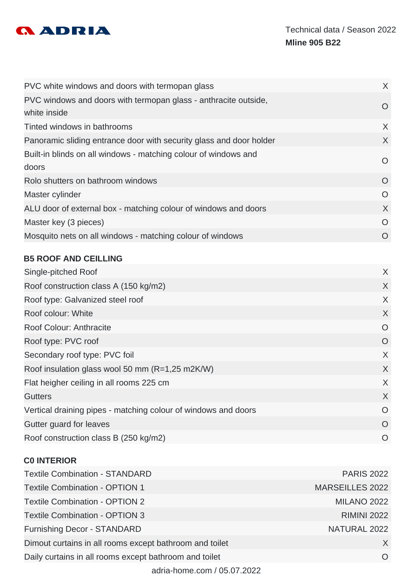

| PVC white windows and doors with termopan glass                     | X        |
|---------------------------------------------------------------------|----------|
| PVC windows and doors with termopan glass - anthracite outside,     | $\Omega$ |
| white inside                                                        |          |
| Tinted windows in bathrooms                                         | X        |
| Panoramic sliding entrance door with security glass and door holder | X        |
| Built-in blinds on all windows - matching colour of windows and     | $\Omega$ |
| doors                                                               |          |
| Rolo shutters on bathroom windows                                   | $\Omega$ |
| Master cylinder                                                     | $\Omega$ |
| ALU door of external box - matching colour of windows and doors     | X        |
| Master key (3 pieces)                                               | $\Omega$ |
| Mosquito nets on all windows - matching colour of windows           | $\Omega$ |
|                                                                     |          |

### **B5 ROOF AND CEILLING**

| Single-pitched Roof                                            | X        |
|----------------------------------------------------------------|----------|
| Roof construction class A (150 kg/m2)                          | X        |
| Roof type: Galvanized steel roof                               | X        |
| Roof colour: White                                             | X        |
| Roof Colour: Anthracite                                        | O        |
| Roof type: PVC roof                                            | $\circ$  |
| Secondary roof type: PVC foil                                  | X        |
| Roof insulation glass wool 50 mm (R=1,25 m2K/W)                | X        |
| Flat heigher ceiling in all rooms 225 cm                       | X        |
| <b>Gutters</b>                                                 | X        |
| Vertical draining pipes - matching colour of windows and doors | O        |
| Gutter guard for leaves                                        | O        |
| Roof construction class B (250 kg/m2)                          | $\Omega$ |
|                                                                |          |

#### **C0 INTERIOR**

| <b>Textile Combination - STANDARD</b>                   | <b>PARIS 2022</b>      |
|---------------------------------------------------------|------------------------|
| <b>Textile Combination - OPTION 1</b>                   | <b>MARSEILLES 2022</b> |
| <b>Textile Combination - OPTION 2</b>                   | <b>MILANO 2022</b>     |
| <b>Textile Combination - OPTION 3</b>                   | <b>RIMINI 2022</b>     |
| <b>Furnishing Decor - STANDARD</b>                      | NATURAL 2022           |
| Dimout curtains in all rooms except bathroom and toilet | X                      |
| Daily curtains in all rooms except bathroom and toilet  | $\Omega$               |
| adria-home.com / 05.07.2022                             |                        |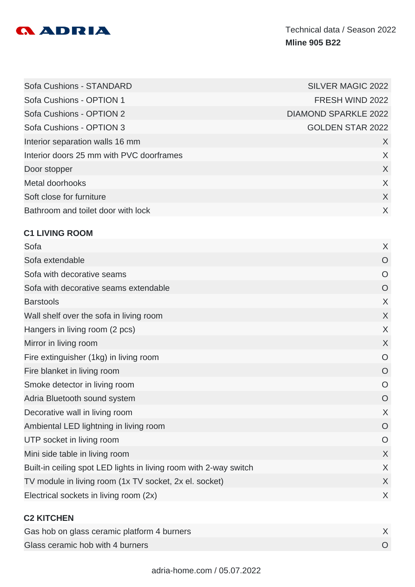

| Sofa Cushions - STANDARD                 | <b>SILVER MAGIC 2022</b>    |
|------------------------------------------|-----------------------------|
| Sofa Cushions - OPTION 1                 | FRESH WIND 2022             |
| Sofa Cushions - OPTION 2                 | <b>DIAMOND SPARKLE 2022</b> |
| Sofa Cushions - OPTION 3                 | <b>GOLDEN STAR 2022</b>     |
| Interior separation walls 16 mm          | X                           |
| Interior doors 25 mm with PVC doorframes | X                           |
| Door stopper                             | X                           |
| Metal doorhooks                          | X                           |
| Soft close for furniture                 | X                           |
| Bathroom and toilet door with lock       | X                           |

#### **C1 LIVING ROOM**

| Sofa                                                              | X              |
|-------------------------------------------------------------------|----------------|
| Sofa extendable                                                   | $\overline{O}$ |
| Sofa with decorative seams                                        | $\overline{O}$ |
| Sofa with decorative seams extendable                             | O              |
| <b>Barstools</b>                                                  | X              |
| Wall shelf over the sofa in living room                           | X              |
| Hangers in living room (2 pcs)                                    | X              |
| Mirror in living room                                             | X              |
| Fire extinguisher (1kg) in living room                            | O              |
| Fire blanket in living room                                       | $\overline{O}$ |
| Smoke detector in living room                                     | $\overline{O}$ |
| Adria Bluetooth sound system                                      | $\overline{O}$ |
| Decorative wall in living room                                    | X              |
| Ambiental LED lightning in living room                            | O              |
| UTP socket in living room                                         | $\overline{O}$ |
| Mini side table in living room                                    | X              |
| Built-in ceiling spot LED lights in living room with 2-way switch | X              |
| TV module in living room (1x TV socket, 2x el. socket)            | X              |
| Electrical sockets in living room (2x)                            | X              |
|                                                                   |                |
| <b>C2 KITCHEN</b>                                                 |                |

## Gas hob on glass ceramic platform 4 burners **X** and *X* and *X* and *X* and *X* and *X* and *X* and *X* and *X* and *X* and *X* and *X* and *X* and *X* and *X* and *X* and *X* and *X* and *X* and *X* and *X* and *X* and *X* Glass ceramic hob with 4 burners **O**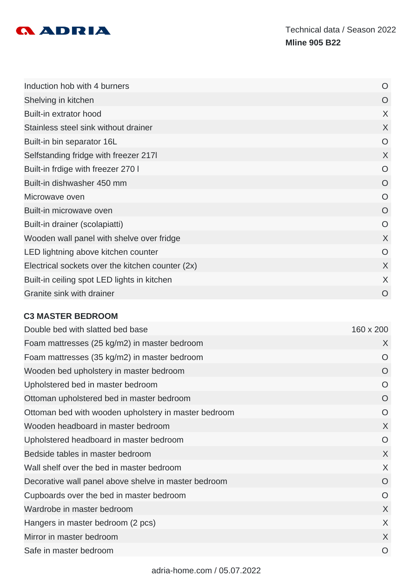

| O              |
|----------------|
| O              |
| X              |
| $\chi$         |
| $\overline{O}$ |
| X              |
| $\overline{O}$ |
| $\Omega$       |
| O              |
| $\Omega$       |
| O              |
| X              |
| $\overline{O}$ |
| X              |
| X              |
| O              |
|                |

#### **C3 MASTER BEDROOM**

| Double bed with slatted bed base                     | 160 x 200      |
|------------------------------------------------------|----------------|
| Foam mattresses (25 kg/m2) in master bedroom         | X              |
| Foam mattresses (35 kg/m2) in master bedroom         | $\circ$        |
| Wooden bed upholstery in master bedroom              | O              |
| Upholstered bed in master bedroom                    | O              |
| Ottoman upholstered bed in master bedroom            | O              |
| Ottoman bed with wooden upholstery in master bedroom | $\circ$        |
| Wooden headboard in master bedroom                   | X              |
| Upholstered headboard in master bedroom              | O              |
| Bedside tables in master bedroom                     | X              |
| Wall shelf over the bed in master bedroom            | X              |
| Decorative wall panel above shelve in master bedroom | $\overline{O}$ |
| Cupboards over the bed in master bedroom             | $\circ$        |
| Wardrobe in master bedroom                           | X              |
| Hangers in master bedroom (2 pcs)                    | X              |
| Mirror in master bedroom                             | X              |
| Safe in master bedroom                               | $\circ$        |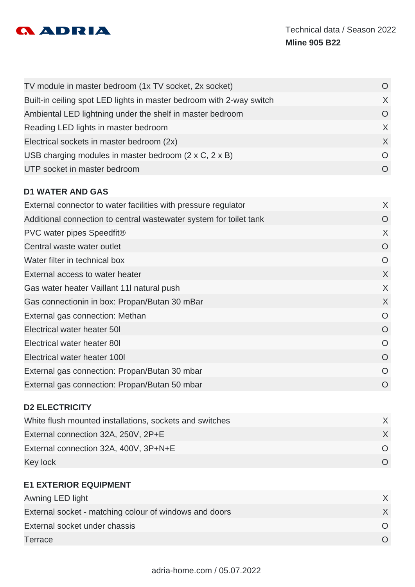

| TV module in master bedroom (1x TV socket, 2x socket)                |          |
|----------------------------------------------------------------------|----------|
| Built-in ceiling spot LED lights in master bedroom with 2-way switch | X        |
| Ambiental LED lightning under the shelf in master bedroom            | $\Omega$ |
| Reading LED lights in master bedroom                                 | X        |
| Electrical sockets in master bedroom (2x)                            | X.       |
| USB charging modules in master bedroom $(2 \times C, 2 \times B)$    | $\Omega$ |
| UTP socket in master bedroom                                         |          |

#### **D1 WATER AND GAS**

| External connector to water facilities with pressure regulator     | $\sf X$  |
|--------------------------------------------------------------------|----------|
| Additional connection to central wastewater system for toilet tank | O        |
| PVC water pipes Speedfit®                                          | $\sf X$  |
| Central waste water outlet                                         | O        |
| Water filter in technical box                                      | O        |
| External access to water heater                                    | X        |
| Gas water heater Vaillant 11I natural push                         | X        |
| Gas connectionin in box: Propan/Butan 30 mBar                      | $\sf X$  |
| External gas connection: Methan                                    | O        |
| Electrical water heater 50                                         | O        |
| Electrical water heater 80I                                        | O        |
| Electrical water heater 1001                                       | $\Omega$ |
| External gas connection: Propan/Butan 30 mbar                      | $\Omega$ |
| External gas connection: Propan/Butan 50 mbar                      | O        |
|                                                                    |          |

#### **D2 ELECTRICITY**

| White flush mounted installations, sockets and switches |  |
|---------------------------------------------------------|--|
| External connection 32A, 250V, 2P+E                     |  |
| External connection 32A, 400V, 3P+N+E                   |  |
| Key lock                                                |  |

#### **E1 EXTERIOR EQUIPMENT**

| Awning LED light                                       |  |
|--------------------------------------------------------|--|
| External socket - matching colour of windows and doors |  |
| External socket under chassis                          |  |
| Terrace                                                |  |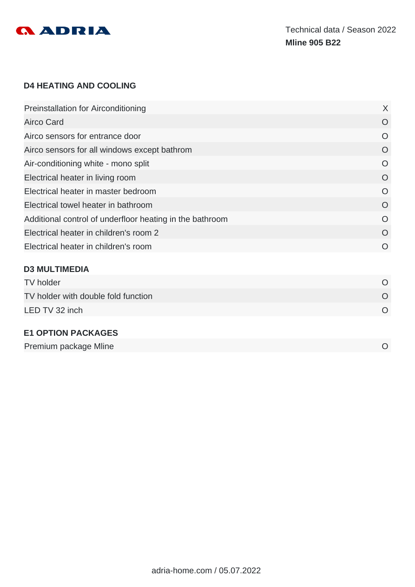

#### **D4 HEATING AND COOLING**

| <b>Preinstallation for Airconditioning</b>               | X         |
|----------------------------------------------------------|-----------|
| <b>Airco Card</b>                                        | O         |
| Airco sensors for entrance door                          | $\Omega$  |
| Airco sensors for all windows except bathrom             | O         |
| Air-conditioning white - mono split                      | $\Omega$  |
| Electrical heater in living room                         | O         |
| Electrical heater in master bedroom                      | $\Omega$  |
| Electrical towel heater in bathroom                      | $\Omega$  |
| Additional control of underfloor heating in the bathroom | $\Omega$  |
| Electrical heater in children's room 2                   | O         |
| Electrical heater in children's room                     | $\bigcap$ |
|                                                          |           |

#### **D3 MULTIMEDIA**

| TV holder                           |  |
|-------------------------------------|--|
| TV holder with double fold function |  |
| LED TV 32 inch                      |  |

#### **E1 OPTION PACKAGES**

| Premium package Mline |  |
|-----------------------|--|
|-----------------------|--|